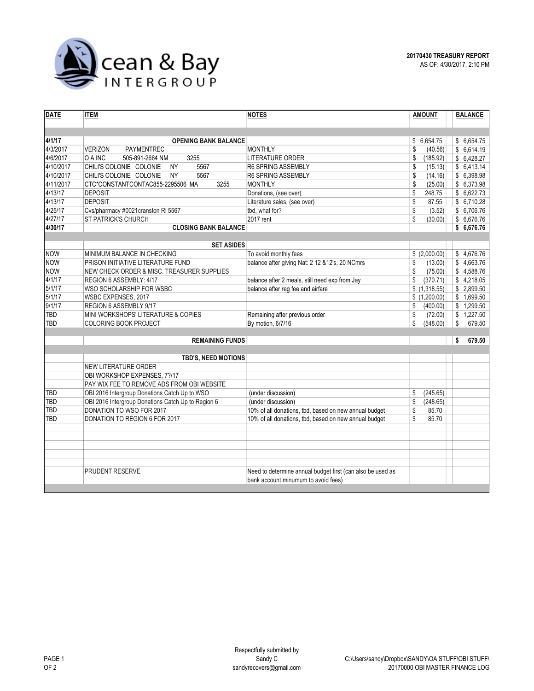

| 4/1/17<br>6,654.75<br><b>OPENING BANK BALANCE</b><br>\$6,654.75<br>\$<br>4/3/2017<br><b>MONTHLY</b><br><b>VERIZON</b><br><b>PAYMENTREC</b><br>\$<br>\$6,614.19<br>(40.56)<br>4/6/2017<br>O A INC<br>3255<br>\$<br>\$6,428.27<br>505-891-2664 NM<br><b>LITERATURE ORDER</b><br>(185.92)<br>4/10/2017<br>CHILI'S COLONIE COLONIE<br><b>NY</b><br>5567<br>R6 SPRING ASSEMBLY<br>\$<br>\$6,413.14<br>(15.13)<br>4/10/2017<br>CHILI'S COLONIE COLONIE<br>5567<br>\$<br>\$6,398.98<br><b>NY</b><br>R6 SPRING ASSEMBLY<br>(14.16)<br>4/11/2017<br>\$6,373.98<br>CTC*CONSTANTCONTAC855-2295506 MA<br>3255<br>\$<br>(25.00)<br><b>MONTHLY</b><br>4/13/17<br>\$6,622.73<br><b>DEPOSIT</b><br>\$<br>Donations, (see over)<br>248.75<br>4/13/17<br>\$<br>\$6,710.28<br><b>DEPOSIT</b><br>Literature sales, (see over)<br>87.55<br>4/25/17<br>Cvs/pharmacy #0021cranston Ri 5567<br>\$<br>\$6,706.76<br>tbd. what for?<br>(3.52)<br>4/27/17<br><b>ST PATRICK'S CHURCH</b><br>2017 rent<br>\$<br>\$6,676.76<br>(30.00)<br>4/30/17<br><b>CLOSING BANK BALANCE</b><br>\$6,676.76<br><b>SET ASIDES</b><br><b>NOW</b><br>MINIMUM BALANCE IN CHECKING<br>To avoid monthly fees<br>\$4.676.76<br>\$(2,000.00)<br><b>NOW</b><br>balance after giving Nat: 2 12 & 12's, 20 NCmrs<br>\$<br>\$4,663.76<br>PRISON INITIATIVE LITERATURE FUND<br>(13.00)<br><b>NOW</b><br>\$4,588.76<br>NEW CHECK ORDER & MISC. TREASURER SUPPLIES<br>\$<br>(75.00)<br>\$4,218.05<br>4/1/17<br>\$<br>(370.71)<br>REGION 6 ASSEMBLY: 4/17<br>balance after 2 meals, still need exp from Jay<br>\$2,899.50<br>5/1/17<br>balance after reg fee and airfare<br>\$(1,318.55)<br>WSO SCHOLARSHIP FOR WSBC<br>5/1/17<br>\$1,699.50<br>WSBC EXPENSES, 2017<br>\$(1,200.00)<br>$\sqrt{5}$ 1,299.50<br>9/1/17<br>REGION 6 ASSEMBLY 9/17<br>(400.00)<br>\$<br><b>TBD</b><br>\$1,227.50<br>\$<br>MINI WORKSHOPS' LITERATURE & COPIES<br>Remaining after previous order<br>(72.00)<br><b>TBD</b><br>By motion, 6/7/16<br>\$<br>\$<br>679.50<br><b>COLORING BOOK PROJECT</b><br>(548.00)<br>679.50<br><b>REMAINING FUNDS</b><br>\$<br><b>TBD'S, NEED MOTIONS</b><br>NEW LITERATURE ORDER<br>OBI WORKSHOP EXPENSES, 7?/17<br>PAY WIX FEE TO REMOVE ADS FROM OBI WEBSITE<br>TBD<br>OBI 2016 Intergroup Donations Catch Up to WSO<br>(under discussion)<br>\$<br>(245.65)<br>TBD<br>OBI 2016 Intergroup Donations Catch Up to Region 6<br>(under discussion)<br>\$<br>(248.65)<br>TBD<br>DONATION TO WSO FOR 2017<br>10% of all donations, tbd, based on new annual budget<br>\$<br>85.70<br>TBD<br>DONATION TO REGION 6 FOR 2017<br>10% of all donations, tbd, based on new annual budget<br>\$<br>85.70<br>PRUDENT RESERVE<br>Need to determine annual budget first (can also be used as<br>bank account minumum to avoid fees) | <b>DATE</b> | <b>ITEM</b> | <b>NOTES</b> | <b>AMOUNT</b> | <b>BALANCE</b> |  |  |  |  |  |  |
|------------------------------------------------------------------------------------------------------------------------------------------------------------------------------------------------------------------------------------------------------------------------------------------------------------------------------------------------------------------------------------------------------------------------------------------------------------------------------------------------------------------------------------------------------------------------------------------------------------------------------------------------------------------------------------------------------------------------------------------------------------------------------------------------------------------------------------------------------------------------------------------------------------------------------------------------------------------------------------------------------------------------------------------------------------------------------------------------------------------------------------------------------------------------------------------------------------------------------------------------------------------------------------------------------------------------------------------------------------------------------------------------------------------------------------------------------------------------------------------------------------------------------------------------------------------------------------------------------------------------------------------------------------------------------------------------------------------------------------------------------------------------------------------------------------------------------------------------------------------------------------------------------------------------------------------------------------------------------------------------------------------------------------------------------------------------------------------------------------------------------------------------------------------------------------------------------------------------------------------------------------------------------------------------------------------------------------------------------------------------------------------------------------------------------------------------------------------------------------------------------------------------------------------------------------------------------------------------------------------------------------------------------------------------------------------------------------------------------------------------------------------------|-------------|-------------|--------------|---------------|----------------|--|--|--|--|--|--|
|                                                                                                                                                                                                                                                                                                                                                                                                                                                                                                                                                                                                                                                                                                                                                                                                                                                                                                                                                                                                                                                                                                                                                                                                                                                                                                                                                                                                                                                                                                                                                                                                                                                                                                                                                                                                                                                                                                                                                                                                                                                                                                                                                                                                                                                                                                                                                                                                                                                                                                                                                                                                                                                                                                                                                                        |             |             |              |               |                |  |  |  |  |  |  |
|                                                                                                                                                                                                                                                                                                                                                                                                                                                                                                                                                                                                                                                                                                                                                                                                                                                                                                                                                                                                                                                                                                                                                                                                                                                                                                                                                                                                                                                                                                                                                                                                                                                                                                                                                                                                                                                                                                                                                                                                                                                                                                                                                                                                                                                                                                                                                                                                                                                                                                                                                                                                                                                                                                                                                                        |             |             |              |               |                |  |  |  |  |  |  |
|                                                                                                                                                                                                                                                                                                                                                                                                                                                                                                                                                                                                                                                                                                                                                                                                                                                                                                                                                                                                                                                                                                                                                                                                                                                                                                                                                                                                                                                                                                                                                                                                                                                                                                                                                                                                                                                                                                                                                                                                                                                                                                                                                                                                                                                                                                                                                                                                                                                                                                                                                                                                                                                                                                                                                                        |             |             |              |               |                |  |  |  |  |  |  |
|                                                                                                                                                                                                                                                                                                                                                                                                                                                                                                                                                                                                                                                                                                                                                                                                                                                                                                                                                                                                                                                                                                                                                                                                                                                                                                                                                                                                                                                                                                                                                                                                                                                                                                                                                                                                                                                                                                                                                                                                                                                                                                                                                                                                                                                                                                                                                                                                                                                                                                                                                                                                                                                                                                                                                                        |             |             |              |               |                |  |  |  |  |  |  |
|                                                                                                                                                                                                                                                                                                                                                                                                                                                                                                                                                                                                                                                                                                                                                                                                                                                                                                                                                                                                                                                                                                                                                                                                                                                                                                                                                                                                                                                                                                                                                                                                                                                                                                                                                                                                                                                                                                                                                                                                                                                                                                                                                                                                                                                                                                                                                                                                                                                                                                                                                                                                                                                                                                                                                                        |             |             |              |               |                |  |  |  |  |  |  |
|                                                                                                                                                                                                                                                                                                                                                                                                                                                                                                                                                                                                                                                                                                                                                                                                                                                                                                                                                                                                                                                                                                                                                                                                                                                                                                                                                                                                                                                                                                                                                                                                                                                                                                                                                                                                                                                                                                                                                                                                                                                                                                                                                                                                                                                                                                                                                                                                                                                                                                                                                                                                                                                                                                                                                                        |             |             |              |               |                |  |  |  |  |  |  |
|                                                                                                                                                                                                                                                                                                                                                                                                                                                                                                                                                                                                                                                                                                                                                                                                                                                                                                                                                                                                                                                                                                                                                                                                                                                                                                                                                                                                                                                                                                                                                                                                                                                                                                                                                                                                                                                                                                                                                                                                                                                                                                                                                                                                                                                                                                                                                                                                                                                                                                                                                                                                                                                                                                                                                                        |             |             |              |               |                |  |  |  |  |  |  |
|                                                                                                                                                                                                                                                                                                                                                                                                                                                                                                                                                                                                                                                                                                                                                                                                                                                                                                                                                                                                                                                                                                                                                                                                                                                                                                                                                                                                                                                                                                                                                                                                                                                                                                                                                                                                                                                                                                                                                                                                                                                                                                                                                                                                                                                                                                                                                                                                                                                                                                                                                                                                                                                                                                                                                                        |             |             |              |               |                |  |  |  |  |  |  |
|                                                                                                                                                                                                                                                                                                                                                                                                                                                                                                                                                                                                                                                                                                                                                                                                                                                                                                                                                                                                                                                                                                                                                                                                                                                                                                                                                                                                                                                                                                                                                                                                                                                                                                                                                                                                                                                                                                                                                                                                                                                                                                                                                                                                                                                                                                                                                                                                                                                                                                                                                                                                                                                                                                                                                                        |             |             |              |               |                |  |  |  |  |  |  |
|                                                                                                                                                                                                                                                                                                                                                                                                                                                                                                                                                                                                                                                                                                                                                                                                                                                                                                                                                                                                                                                                                                                                                                                                                                                                                                                                                                                                                                                                                                                                                                                                                                                                                                                                                                                                                                                                                                                                                                                                                                                                                                                                                                                                                                                                                                                                                                                                                                                                                                                                                                                                                                                                                                                                                                        |             |             |              |               |                |  |  |  |  |  |  |
|                                                                                                                                                                                                                                                                                                                                                                                                                                                                                                                                                                                                                                                                                                                                                                                                                                                                                                                                                                                                                                                                                                                                                                                                                                                                                                                                                                                                                                                                                                                                                                                                                                                                                                                                                                                                                                                                                                                                                                                                                                                                                                                                                                                                                                                                                                                                                                                                                                                                                                                                                                                                                                                                                                                                                                        |             |             |              |               |                |  |  |  |  |  |  |
|                                                                                                                                                                                                                                                                                                                                                                                                                                                                                                                                                                                                                                                                                                                                                                                                                                                                                                                                                                                                                                                                                                                                                                                                                                                                                                                                                                                                                                                                                                                                                                                                                                                                                                                                                                                                                                                                                                                                                                                                                                                                                                                                                                                                                                                                                                                                                                                                                                                                                                                                                                                                                                                                                                                                                                        |             |             |              |               |                |  |  |  |  |  |  |
|                                                                                                                                                                                                                                                                                                                                                                                                                                                                                                                                                                                                                                                                                                                                                                                                                                                                                                                                                                                                                                                                                                                                                                                                                                                                                                                                                                                                                                                                                                                                                                                                                                                                                                                                                                                                                                                                                                                                                                                                                                                                                                                                                                                                                                                                                                                                                                                                                                                                                                                                                                                                                                                                                                                                                                        |             |             |              |               |                |  |  |  |  |  |  |
|                                                                                                                                                                                                                                                                                                                                                                                                                                                                                                                                                                                                                                                                                                                                                                                                                                                                                                                                                                                                                                                                                                                                                                                                                                                                                                                                                                                                                                                                                                                                                                                                                                                                                                                                                                                                                                                                                                                                                                                                                                                                                                                                                                                                                                                                                                                                                                                                                                                                                                                                                                                                                                                                                                                                                                        |             |             |              |               |                |  |  |  |  |  |  |
|                                                                                                                                                                                                                                                                                                                                                                                                                                                                                                                                                                                                                                                                                                                                                                                                                                                                                                                                                                                                                                                                                                                                                                                                                                                                                                                                                                                                                                                                                                                                                                                                                                                                                                                                                                                                                                                                                                                                                                                                                                                                                                                                                                                                                                                                                                                                                                                                                                                                                                                                                                                                                                                                                                                                                                        |             |             |              |               |                |  |  |  |  |  |  |
|                                                                                                                                                                                                                                                                                                                                                                                                                                                                                                                                                                                                                                                                                                                                                                                                                                                                                                                                                                                                                                                                                                                                                                                                                                                                                                                                                                                                                                                                                                                                                                                                                                                                                                                                                                                                                                                                                                                                                                                                                                                                                                                                                                                                                                                                                                                                                                                                                                                                                                                                                                                                                                                                                                                                                                        |             |             |              |               |                |  |  |  |  |  |  |
|                                                                                                                                                                                                                                                                                                                                                                                                                                                                                                                                                                                                                                                                                                                                                                                                                                                                                                                                                                                                                                                                                                                                                                                                                                                                                                                                                                                                                                                                                                                                                                                                                                                                                                                                                                                                                                                                                                                                                                                                                                                                                                                                                                                                                                                                                                                                                                                                                                                                                                                                                                                                                                                                                                                                                                        |             |             |              |               |                |  |  |  |  |  |  |
|                                                                                                                                                                                                                                                                                                                                                                                                                                                                                                                                                                                                                                                                                                                                                                                                                                                                                                                                                                                                                                                                                                                                                                                                                                                                                                                                                                                                                                                                                                                                                                                                                                                                                                                                                                                                                                                                                                                                                                                                                                                                                                                                                                                                                                                                                                                                                                                                                                                                                                                                                                                                                                                                                                                                                                        |             |             |              |               |                |  |  |  |  |  |  |
|                                                                                                                                                                                                                                                                                                                                                                                                                                                                                                                                                                                                                                                                                                                                                                                                                                                                                                                                                                                                                                                                                                                                                                                                                                                                                                                                                                                                                                                                                                                                                                                                                                                                                                                                                                                                                                                                                                                                                                                                                                                                                                                                                                                                                                                                                                                                                                                                                                                                                                                                                                                                                                                                                                                                                                        |             |             |              |               |                |  |  |  |  |  |  |
|                                                                                                                                                                                                                                                                                                                                                                                                                                                                                                                                                                                                                                                                                                                                                                                                                                                                                                                                                                                                                                                                                                                                                                                                                                                                                                                                                                                                                                                                                                                                                                                                                                                                                                                                                                                                                                                                                                                                                                                                                                                                                                                                                                                                                                                                                                                                                                                                                                                                                                                                                                                                                                                                                                                                                                        |             |             |              |               |                |  |  |  |  |  |  |
|                                                                                                                                                                                                                                                                                                                                                                                                                                                                                                                                                                                                                                                                                                                                                                                                                                                                                                                                                                                                                                                                                                                                                                                                                                                                                                                                                                                                                                                                                                                                                                                                                                                                                                                                                                                                                                                                                                                                                                                                                                                                                                                                                                                                                                                                                                                                                                                                                                                                                                                                                                                                                                                                                                                                                                        |             |             |              |               |                |  |  |  |  |  |  |
|                                                                                                                                                                                                                                                                                                                                                                                                                                                                                                                                                                                                                                                                                                                                                                                                                                                                                                                                                                                                                                                                                                                                                                                                                                                                                                                                                                                                                                                                                                                                                                                                                                                                                                                                                                                                                                                                                                                                                                                                                                                                                                                                                                                                                                                                                                                                                                                                                                                                                                                                                                                                                                                                                                                                                                        |             |             |              |               |                |  |  |  |  |  |  |
|                                                                                                                                                                                                                                                                                                                                                                                                                                                                                                                                                                                                                                                                                                                                                                                                                                                                                                                                                                                                                                                                                                                                                                                                                                                                                                                                                                                                                                                                                                                                                                                                                                                                                                                                                                                                                                                                                                                                                                                                                                                                                                                                                                                                                                                                                                                                                                                                                                                                                                                                                                                                                                                                                                                                                                        |             |             |              |               |                |  |  |  |  |  |  |
|                                                                                                                                                                                                                                                                                                                                                                                                                                                                                                                                                                                                                                                                                                                                                                                                                                                                                                                                                                                                                                                                                                                                                                                                                                                                                                                                                                                                                                                                                                                                                                                                                                                                                                                                                                                                                                                                                                                                                                                                                                                                                                                                                                                                                                                                                                                                                                                                                                                                                                                                                                                                                                                                                                                                                                        |             |             |              |               |                |  |  |  |  |  |  |
|                                                                                                                                                                                                                                                                                                                                                                                                                                                                                                                                                                                                                                                                                                                                                                                                                                                                                                                                                                                                                                                                                                                                                                                                                                                                                                                                                                                                                                                                                                                                                                                                                                                                                                                                                                                                                                                                                                                                                                                                                                                                                                                                                                                                                                                                                                                                                                                                                                                                                                                                                                                                                                                                                                                                                                        |             |             |              |               |                |  |  |  |  |  |  |
|                                                                                                                                                                                                                                                                                                                                                                                                                                                                                                                                                                                                                                                                                                                                                                                                                                                                                                                                                                                                                                                                                                                                                                                                                                                                                                                                                                                                                                                                                                                                                                                                                                                                                                                                                                                                                                                                                                                                                                                                                                                                                                                                                                                                                                                                                                                                                                                                                                                                                                                                                                                                                                                                                                                                                                        |             |             |              |               |                |  |  |  |  |  |  |
|                                                                                                                                                                                                                                                                                                                                                                                                                                                                                                                                                                                                                                                                                                                                                                                                                                                                                                                                                                                                                                                                                                                                                                                                                                                                                                                                                                                                                                                                                                                                                                                                                                                                                                                                                                                                                                                                                                                                                                                                                                                                                                                                                                                                                                                                                                                                                                                                                                                                                                                                                                                                                                                                                                                                                                        |             |             |              |               |                |  |  |  |  |  |  |
|                                                                                                                                                                                                                                                                                                                                                                                                                                                                                                                                                                                                                                                                                                                                                                                                                                                                                                                                                                                                                                                                                                                                                                                                                                                                                                                                                                                                                                                                                                                                                                                                                                                                                                                                                                                                                                                                                                                                                                                                                                                                                                                                                                                                                                                                                                                                                                                                                                                                                                                                                                                                                                                                                                                                                                        |             |             |              |               |                |  |  |  |  |  |  |
|                                                                                                                                                                                                                                                                                                                                                                                                                                                                                                                                                                                                                                                                                                                                                                                                                                                                                                                                                                                                                                                                                                                                                                                                                                                                                                                                                                                                                                                                                                                                                                                                                                                                                                                                                                                                                                                                                                                                                                                                                                                                                                                                                                                                                                                                                                                                                                                                                                                                                                                                                                                                                                                                                                                                                                        |             |             |              |               |                |  |  |  |  |  |  |
|                                                                                                                                                                                                                                                                                                                                                                                                                                                                                                                                                                                                                                                                                                                                                                                                                                                                                                                                                                                                                                                                                                                                                                                                                                                                                                                                                                                                                                                                                                                                                                                                                                                                                                                                                                                                                                                                                                                                                                                                                                                                                                                                                                                                                                                                                                                                                                                                                                                                                                                                                                                                                                                                                                                                                                        |             |             |              |               |                |  |  |  |  |  |  |
|                                                                                                                                                                                                                                                                                                                                                                                                                                                                                                                                                                                                                                                                                                                                                                                                                                                                                                                                                                                                                                                                                                                                                                                                                                                                                                                                                                                                                                                                                                                                                                                                                                                                                                                                                                                                                                                                                                                                                                                                                                                                                                                                                                                                                                                                                                                                                                                                                                                                                                                                                                                                                                                                                                                                                                        |             |             |              |               |                |  |  |  |  |  |  |
|                                                                                                                                                                                                                                                                                                                                                                                                                                                                                                                                                                                                                                                                                                                                                                                                                                                                                                                                                                                                                                                                                                                                                                                                                                                                                                                                                                                                                                                                                                                                                                                                                                                                                                                                                                                                                                                                                                                                                                                                                                                                                                                                                                                                                                                                                                                                                                                                                                                                                                                                                                                                                                                                                                                                                                        |             |             |              |               |                |  |  |  |  |  |  |
|                                                                                                                                                                                                                                                                                                                                                                                                                                                                                                                                                                                                                                                                                                                                                                                                                                                                                                                                                                                                                                                                                                                                                                                                                                                                                                                                                                                                                                                                                                                                                                                                                                                                                                                                                                                                                                                                                                                                                                                                                                                                                                                                                                                                                                                                                                                                                                                                                                                                                                                                                                                                                                                                                                                                                                        |             |             |              |               |                |  |  |  |  |  |  |
|                                                                                                                                                                                                                                                                                                                                                                                                                                                                                                                                                                                                                                                                                                                                                                                                                                                                                                                                                                                                                                                                                                                                                                                                                                                                                                                                                                                                                                                                                                                                                                                                                                                                                                                                                                                                                                                                                                                                                                                                                                                                                                                                                                                                                                                                                                                                                                                                                                                                                                                                                                                                                                                                                                                                                                        |             |             |              |               |                |  |  |  |  |  |  |
|                                                                                                                                                                                                                                                                                                                                                                                                                                                                                                                                                                                                                                                                                                                                                                                                                                                                                                                                                                                                                                                                                                                                                                                                                                                                                                                                                                                                                                                                                                                                                                                                                                                                                                                                                                                                                                                                                                                                                                                                                                                                                                                                                                                                                                                                                                                                                                                                                                                                                                                                                                                                                                                                                                                                                                        |             |             |              |               |                |  |  |  |  |  |  |
|                                                                                                                                                                                                                                                                                                                                                                                                                                                                                                                                                                                                                                                                                                                                                                                                                                                                                                                                                                                                                                                                                                                                                                                                                                                                                                                                                                                                                                                                                                                                                                                                                                                                                                                                                                                                                                                                                                                                                                                                                                                                                                                                                                                                                                                                                                                                                                                                                                                                                                                                                                                                                                                                                                                                                                        |             |             |              |               |                |  |  |  |  |  |  |
|                                                                                                                                                                                                                                                                                                                                                                                                                                                                                                                                                                                                                                                                                                                                                                                                                                                                                                                                                                                                                                                                                                                                                                                                                                                                                                                                                                                                                                                                                                                                                                                                                                                                                                                                                                                                                                                                                                                                                                                                                                                                                                                                                                                                                                                                                                                                                                                                                                                                                                                                                                                                                                                                                                                                                                        |             |             |              |               |                |  |  |  |  |  |  |
|                                                                                                                                                                                                                                                                                                                                                                                                                                                                                                                                                                                                                                                                                                                                                                                                                                                                                                                                                                                                                                                                                                                                                                                                                                                                                                                                                                                                                                                                                                                                                                                                                                                                                                                                                                                                                                                                                                                                                                                                                                                                                                                                                                                                                                                                                                                                                                                                                                                                                                                                                                                                                                                                                                                                                                        |             |             |              |               |                |  |  |  |  |  |  |
|                                                                                                                                                                                                                                                                                                                                                                                                                                                                                                                                                                                                                                                                                                                                                                                                                                                                                                                                                                                                                                                                                                                                                                                                                                                                                                                                                                                                                                                                                                                                                                                                                                                                                                                                                                                                                                                                                                                                                                                                                                                                                                                                                                                                                                                                                                                                                                                                                                                                                                                                                                                                                                                                                                                                                                        |             |             |              |               |                |  |  |  |  |  |  |
|                                                                                                                                                                                                                                                                                                                                                                                                                                                                                                                                                                                                                                                                                                                                                                                                                                                                                                                                                                                                                                                                                                                                                                                                                                                                                                                                                                                                                                                                                                                                                                                                                                                                                                                                                                                                                                                                                                                                                                                                                                                                                                                                                                                                                                                                                                                                                                                                                                                                                                                                                                                                                                                                                                                                                                        |             |             |              |               |                |  |  |  |  |  |  |
|                                                                                                                                                                                                                                                                                                                                                                                                                                                                                                                                                                                                                                                                                                                                                                                                                                                                                                                                                                                                                                                                                                                                                                                                                                                                                                                                                                                                                                                                                                                                                                                                                                                                                                                                                                                                                                                                                                                                                                                                                                                                                                                                                                                                                                                                                                                                                                                                                                                                                                                                                                                                                                                                                                                                                                        |             |             |              |               |                |  |  |  |  |  |  |